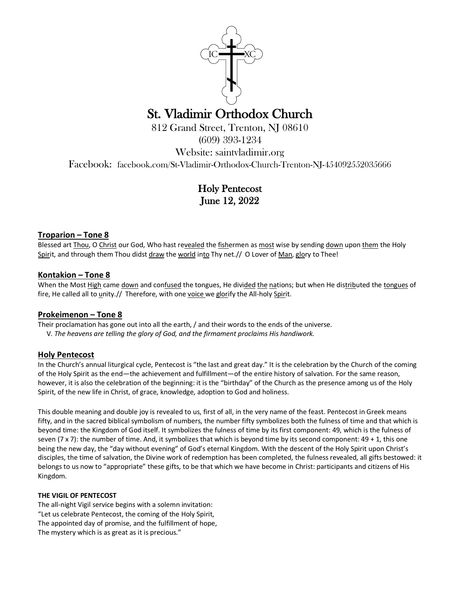

# St. Vladimir Orthodox Church<br>812 Grand Street, Trenton, NJ 08610

(609) 393-1234

Website: saintvladimir.org

Facebook: facebook.com/St-Vladimir-Orthodox-Church-Trenton-NJ-454092552035666

Holy Pentecost June 12, 2022

# **Troparion – Tone 8**

Blessed art Thou, O Christ our God, Who hast revealed the fishermen as most wise by sending down upon them the Holy Spirit, and through them Thou didst draw the world into Thy net.// O Lover of Man, glory to Thee!

# **Kontakion – Tone 8**

When the Most High came down and confused the tongues, He divided the nations; but when He distributed the tongues of fire, He called all to unity.// Therefore, with one voice we glorify the All-holy Spirit.

# **Prokeimenon – Tone 8**

Their proclamation has gone out into all the earth, / and their words to the ends of the universe.

V. *The heavens are telling the glory of God, and the firmament proclaims His handiwork.* 

# **Holy Pentecost**

In the Church's annual liturgical cycle, Pentecost is "the last and great day." It is the celebration by the Church of the coming of the Holy Spirit as the end—the achievement and fulfillment—of the entire history of salvation. For the same reason, however, it is also the celebration of the beginning: it is the "birthday" of the Church as the presence among us of the Holy Spirit, of the new life in Christ, of grace, knowledge, adoption to God and holiness.

This double meaning and double joy is revealed to us, first of all, in the very name of the feast. Pentecost in Greek means fifty, and in the sacred biblical symbolism of numbers, the number fifty symbolizes both the fulness of time and that which is beyond time: the Kingdom of God itself. It symbolizes the fulness of time by its first component: 49, which is the fulness of seven (7 x 7): the number of time. And, it symbolizes that which is beyond time by its second component:  $49 + 1$ , this one being the new day, the "day without evening" of God's eternal Kingdom. With the descent of the Holy Spirit upon Christ's disciples, the time of salvation, the Divine work of redemption has been completed, the fulness revealed, all gifts bestowed: it belongs to us now to "appropriate" these gifts, to be that which we have become in Christ: participants and citizens of His Kingdom.

## **THE VIGIL OF PENTECOST**

The all-night Vigil service begins with a solemn invitation: "Let us celebrate Pentecost, the coming of the Holy Spirit, The appointed day of promise, and the fulfillment of hope, The mystery which is as great as it is precious."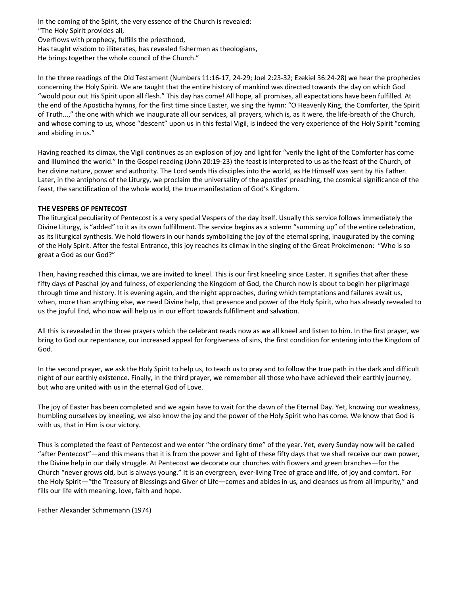In the coming of the Spirit, the very essence of the Church is revealed: "The Holy Spirit provides all, Overflows with prophecy, fulfills the priesthood, Has taught wisdom to illiterates, has revealed fishermen as theologians, He brings together the whole council of the Church."

In the three readings of the Old Testament (Numbers 11:16-17, 24-29; Joel 2:23-32; Ezekiel 36:24-28) we hear the prophecies concerning the Holy Spirit. We are taught that the entire history of mankind was directed towards the day on which God "would pour out His Spirit upon all flesh." This day has come! All hope, all promises, all expectations have been fulfilled. At the end of the Aposticha hymns, for the first time since Easter, we sing the hymn: "O Heavenly King, the Comforter, the Spirit of Truth...," the one with which we inaugurate all our services, all prayers, which is, as it were, the life-breath of the Church, and whose coming to us, whose "descent" upon us in this festal Vigil, is indeed the very experience of the Holy Spirit "coming and abiding in us."

Having reached its climax, the Vigil continues as an explosion of joy and light for "verily the light of the Comforter has come and illumined the world." In the Gospel reading (John 20:19-23) the feast is interpreted to us as the feast of the Church, of her divine nature, power and authority. The Lord sends His disciples into the world, as He Himself was sent by His Father. Later, in the antiphons of the Liturgy, we proclaim the universality of the apostles' preaching, the cosmical significance of the feast, the sanctification of the whole world, the true manifestation of God's Kingdom.

## **THE VESPERS OF PENTECOST**

The liturgical peculiarity of Pentecost is a very special Vespers of the day itself. Usually this service follows immediately the Divine Liturgy, is "added" to it as its own fulfillment. The service begins as a solemn "summing up" of the entire celebration, as its liturgical synthesis. We hold flowers in our hands symbolizing the joy of the eternal spring, inaugurated by the coming of the Holy Spirit. After the festal Entrance, this joy reaches its climax in the singing of the Great Prokeimenon: "Who is so great a God as our God?"

Then, having reached this climax, we are invited to kneel. This is our first kneeling since Easter. It signifies that after these fifty days of Paschal joy and fulness, of experiencing the Kingdom of God, the Church now is about to begin her pilgrimage through time and history. It is evening again, and the night approaches, during which temptations and failures await us, when, more than anything else, we need Divine help, that presence and power of the Holy Spirit, who has already revealed to us the joyful End, who now will help us in our effort towards fulfillment and salvation.

All this is revealed in the three prayers which the celebrant reads now as we all kneel and listen to him. In the first prayer, we bring to God our repentance, our increased appeal for forgiveness of sins, the first condition for entering into the Kingdom of God.

In the second prayer, we ask the Holy Spirit to help us, to teach us to pray and to follow the true path in the dark and difficult night of our earthly existence. Finally, in the third prayer, we remember all those who have achieved their earthly journey, but who are united with us in the eternal God of Love.

The joy of Easter has been completed and we again have to wait for the dawn of the Eternal Day. Yet, knowing our weakness, humbling ourselves by kneeling, we also know the joy and the power of the Holy Spirit who has come. We know that God is with us, that in Him is our victory.

Thus is completed the feast of Pentecost and we enter "the ordinary time" of the year. Yet, every Sunday now will be called "after Pentecost"—and this means that it is from the power and light of these fifty days that we shall receive our own power, the Divine help in our daily struggle. At Pentecost we decorate our churches with flowers and green branches—for the Church "never grows old, but is always young." It is an evergreen, ever-living Tree of grace and life, of joy and comfort. For the Holy Spirit—"the Treasury of Blessings and Giver of Life—comes and abides in us, and cleanses us from all impurity," and fills our life with meaning, love, faith and hope.

Father Alexander Schmemann (1974)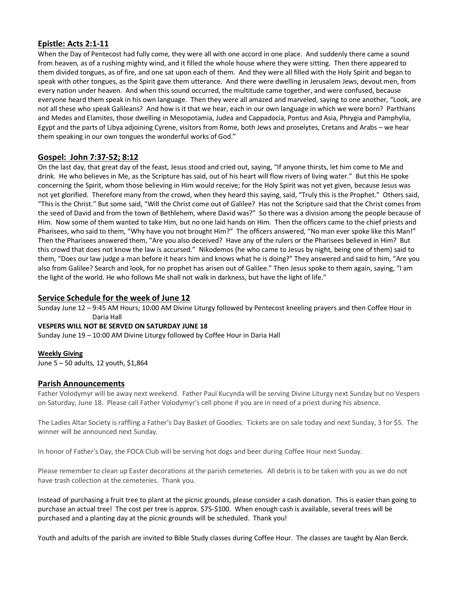# **Epistle: Acts 2:1-11**

When the Day of Pentecost had fully come, they were all with one accord in one place. And suddenly there came a sound from heaven, as of a rushing mighty wind, and it filled the whole house where they were sitting. Then there appeared to them divided tongues, as of fire, and one sat upon each of them. And they were all filled with the Holy Spirit and began to speak with other tongues, as the Spirit gave them utterance. And there were dwelling in Jerusalem Jews, devout men, from every nation under heaven. And when this sound occurred, the multitude came together, and were confused, because everyone heard them speak in his own language. Then they were all amazed and marveled, saying to one another, "Look, are not all these who speak Galileans? And how is it that we hear, each in our own language in which we were born? Parthians and Medes and Elamites, those dwelling in Mesopotamia, Judea and Cappadocia, Pontus and Asia, Phrygia and Pamphylia, Egypt and the parts of Libya adjoining Cyrene, visitors from Rome, both Jews and proselytes, Cretans and Arabs – we hear them speaking in our own tongues the wonderful works of God."

# **Gospel: John 7:37-52; 8:12**

On the last day, that great day of the feast, Jesus stood and cried out, saying, "If anyone thirsts, let him come to Me and drink. He who believes in Me, as the Scripture has said, out of his heart will flow rivers of living water." But this He spoke concerning the Spirit, whom those believing in Him would receive; for the Holy Spirit was not yet given, because Jesus was not yet glorified. Therefore many from the crowd, when they heard this saying, said, "Truly this is the Prophet." Others said, "This is the Christ." But some said, "Will the Christ come out of Galilee? Has not the Scripture said that the Christ comes from the seed of David and from the town of Bethlehem, where David was?" So there was a division among the people because of Him. Now some of them wanted to take Him, but no one laid hands on Him. Then the officers came to the chief priests and Pharisees, who said to them, "Why have you not brought Him?" The officers answered, "No man ever spoke like this Man!" Then the Pharisees answered them, "Are you also deceived? Have any of the rulers or the Pharisees believed in Him? But this crowd that does not know the law is accursed." Nikodemos (he who came to Jesus by night, being one of them) said to them, "Does our law judge a man before it hears him and knows what he is doing?" They answered and said to him, "Are you also from Galilee? Search and look, for no prophet has arisen out of Galilee." Then Jesus spoke to them again, saying, "I am the light of the world. He who follows Me shall not walk in darkness, but have the light of life."

# **Service Schedule for the week of June 12**

Sunday June 12 – 9:45 AM Hours; 10:00 AM Divine Liturgy followed by Pentecost kneeling prayers and then Coffee Hour in Daria Hall

## **VESPERS WILL NOT BE SERVED ON SATURDAY JUNE 18**

Sunday June 19 – 10:00 AM Divine Liturgy followed by Coffee Hour in Daria Hall

## **Weekly Giving**

June 5 – 50 adults, 12 youth, \$1,864

## **Parish Announcements**

Father Volodymyr will be away next weekend. Father Paul Kucynda will be serving Divine Liturgy next Sunday but no Vespers on Saturday, June 18. Please call Father Volodymyr's cell phone if you are in need of a priest during his absence.

The Ladies Altar Society is raffling a Father's Day Basket of Goodies. Tickets are on sale today and next Sunday, 3 for \$5. The winner will be announced next Sunday.

In honor of Father's Day, the FOCA Club will be serving hot dogs and beer during Coffee Hour next Sunday.

Please remember to clean up Easter decorations at the parish cemeteries. All debris is to be taken with you as we do not have trash collection at the cemeteries. Thank you.

Instead of purchasing a fruit tree to plant at the picnic grounds, please consider a cash donation. This is easier than going to purchase an actual tree! The cost per tree is approx. \$75-\$100. When enough cash is available, several trees will be purchased and a planting day at the picnic grounds will be scheduled. Thank you!

Youth and adults of the parish are invited to Bible Study classes during Coffee Hour. The classes are taught by Alan Berck.